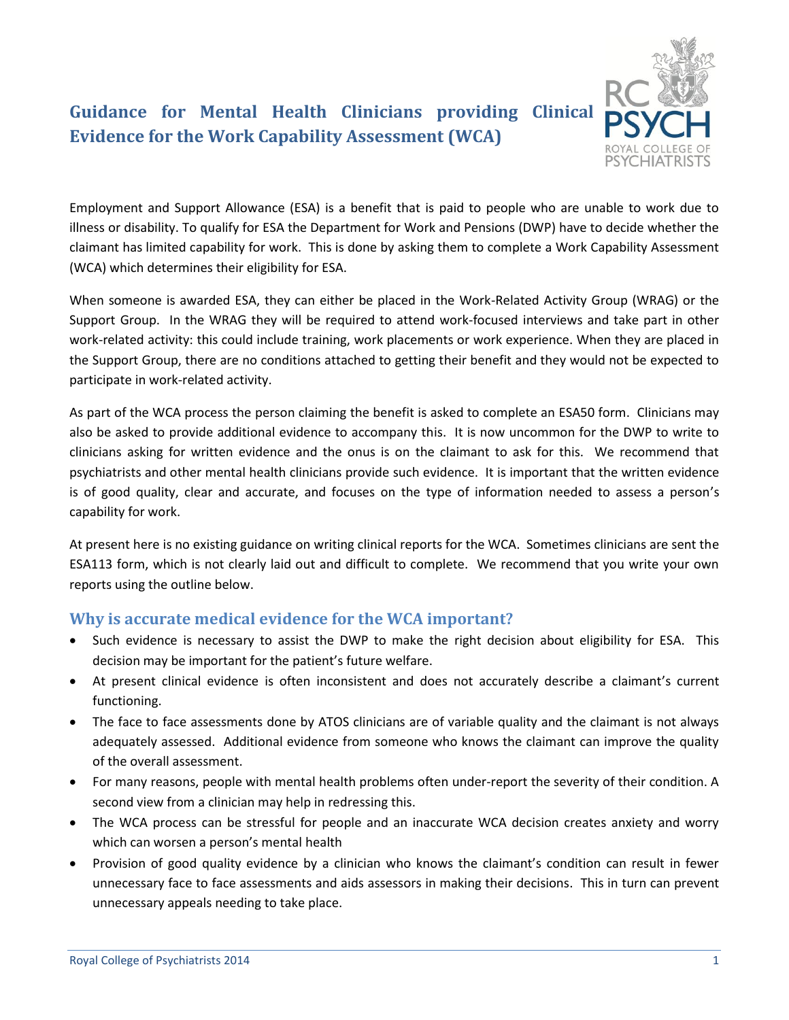

# **Guidance for Mental Health Clinicians providing Clinical Evidence for the Work Capability Assessment (WCA)**

Employment and Support Allowance (ESA) is a benefit that is paid to people who are unable to work due to illness or disability. To qualify for ESA the Department for Work and Pensions (DWP) have to decide whether the claimant has limited capability for work. This is done by asking them to complete a Work Capability Assessment (WCA) which determines their eligibility for ESA.

When someone is awarded ESA, they can either be placed in the Work-Related Activity Group (WRAG) or the Support Group. In the WRAG they will be required to attend work-focused interviews and take part in other work-related activity: this could include training, work placements or work experience. When they are placed in the Support Group, there are no conditions attached to getting their benefit and they would not be expected to participate in work-related activity.

As part of the WCA process the person claiming the benefit is asked to complete an ESA50 form. Clinicians may also be asked to provide additional evidence to accompany this. It is now uncommon for the DWP to write to clinicians asking for written evidence and the onus is on the claimant to ask for this. We recommend that psychiatrists and other mental health clinicians provide such evidence. It is important that the written evidence is of good quality, clear and accurate, and focuses on the type of information needed to assess a person's capability for work.

At present here is no existing guidance on writing clinical reports for the WCA. Sometimes clinicians are sent the ESA113 form, which is not clearly laid out and difficult to complete. We recommend that you write your own reports using the outline below.

## **Why is accurate medical evidence for the WCA important?**

- Such evidence is necessary to assist the DWP to make the right decision about eligibility for ESA. This decision may be important for the patient's future welfare.
- At present clinical evidence is often inconsistent and does not accurately describe a claimant's current functioning.
- The face to face assessments done by ATOS clinicians are of variable quality and the claimant is not always adequately assessed. Additional evidence from someone who knows the claimant can improve the quality of the overall assessment.
- For many reasons, people with mental health problems often under-report the severity of their condition. A second view from a clinician may help in redressing this.
- The WCA process can be stressful for people and an inaccurate WCA decision creates anxiety and worry which can worsen a person's mental health
- Provision of good quality evidence by a clinician who knows the claimant's condition can result in fewer unnecessary face to face assessments and aids assessors in making their decisions. This in turn can prevent unnecessary appeals needing to take place.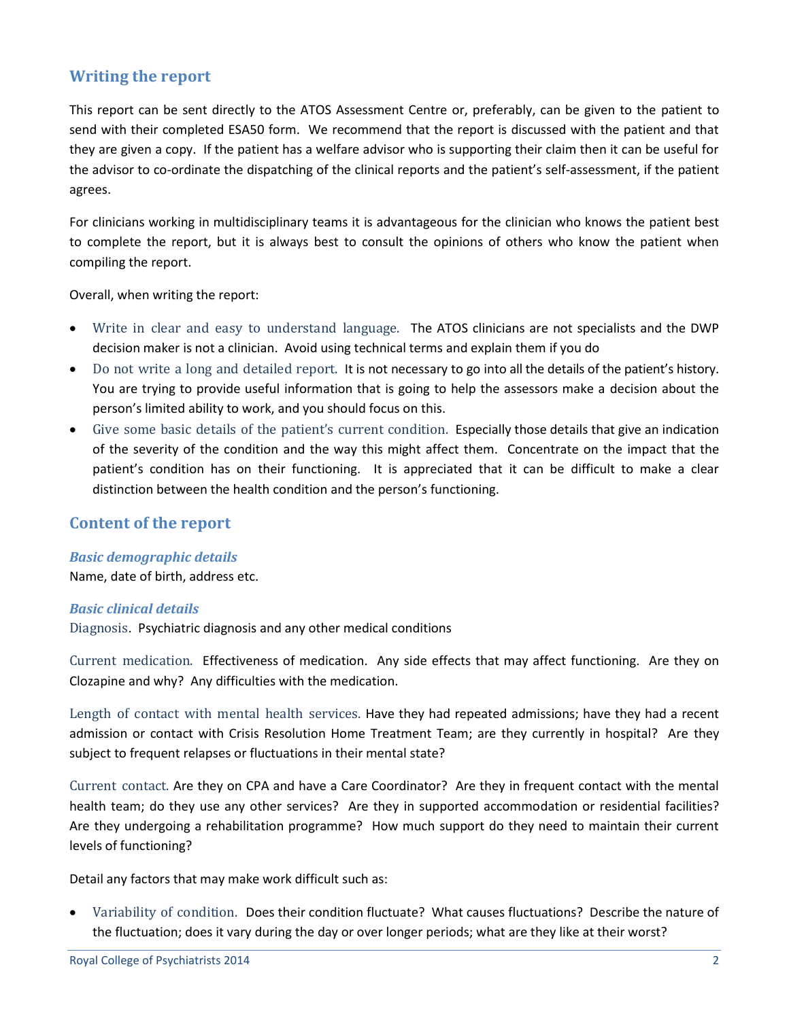# **Writing the report**

This report can be sent directly to the ATOS Assessment Centre or, preferably, can be given to the patient to send with their completed ESA50 form. We recommend that the report is discussed with the patient and that they are given a copy. If the patient has a welfare advisor who is supporting their claim then it can be useful for the advisor to co-ordinate the dispatching of the clinical reports and the patient's self-assessment, if the patient agrees.

For clinicians working in multidisciplinary teams it is advantageous for the clinician who knows the patient best to complete the report, but it is always best to consult the opinions of others who know the patient when compiling the report.

Overall, when writing the report:

- Write in clear and easy to understand language. The ATOS clinicians are not specialists and the DWP decision maker is not a clinician. Avoid using technical terms and explain them if you do
- Do not write a long and detailed report. It is not necessary to go into all the details of the patient's history. You are trying to provide useful information that is going to help the assessors make a decision about the person's limited ability to work, and you should focus on this.
- Give some basic details of the patient's current condition. Especially those details that give an indication of the severity of the condition and the way this might affect them. Concentrate on the impact that the patient's condition has on their functioning. It is appreciated that it can be difficult to make a clear distinction between the health condition and the person's functioning.

## **Content of the report**

## *Basic demographic details*

Name, date of birth, address etc.

#### *Basic clinical details*

Diagnosis. Psychiatric diagnosis and any other medical conditions

Current medication. Effectiveness of medication. Any side effects that may affect functioning. Are they on Clozapine and why? Any difficulties with the medication.

Length of contact with mental health services. Have they had repeated admissions; have they had a recent admission or contact with Crisis Resolution Home Treatment Team; are they currently in hospital? Are they subject to frequent relapses or fluctuations in their mental state?

Current contact. Are they on CPA and have a Care Coordinator? Are they in frequent contact with the mental health team; do they use any other services? Are they in supported accommodation or residential facilities? Are they undergoing a rehabilitation programme? How much support do they need to maintain their current levels of functioning?

Detail any factors that may make work difficult such as:

 Variability of condition. Does their condition fluctuate? What causes fluctuations? Describe the nature of the fluctuation; does it vary during the day or over longer periods; what are they like at their worst?